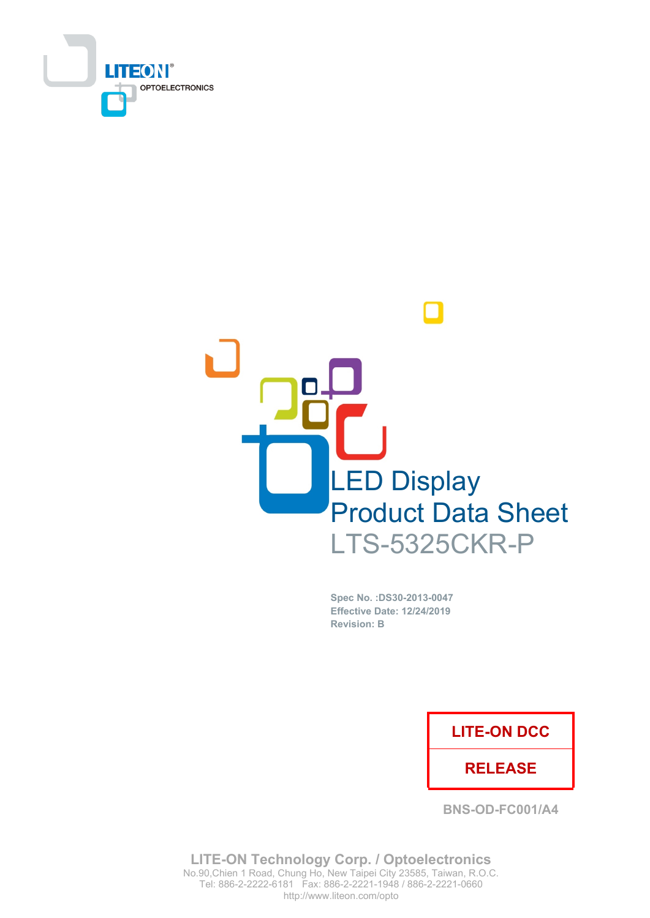



Spec No. : DS30-2013-0047 **Effective Date: 12/24/2019 Revision: B** 

## **LITE-ON DCC**

## **RELEASE**

**BNS-OD-FC001/A4** 

**LITE-ON Technology Corp. / Optoelectronics** No.90, Chien 1 Road, Chung Ho, New Taipei City 23585, Taiwan, R.O.C. Tel: 886-2-2222-6181 Fax: 886-2-2221-1948 / 886-2-2221-0660 http://www.liteon.com/opto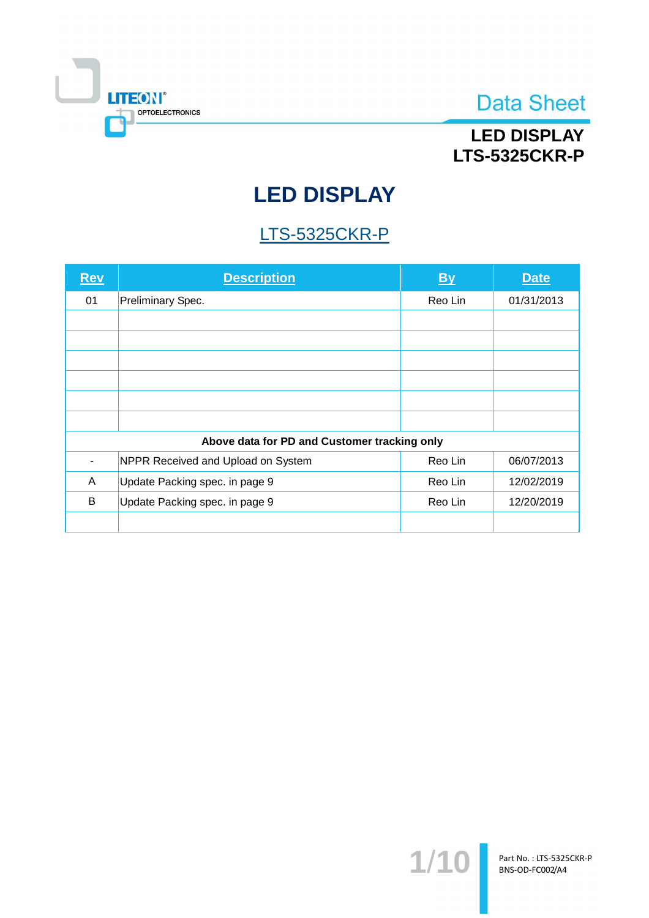

# **LED DISPLAY LTS-5325CKR-P**

# **LED DISPLAY**

# **LTS-5325CKR-P**

| <b>Rev</b>                                   | <b>Description</b>                 | <b>By</b> | <b>Date</b> |  |
|----------------------------------------------|------------------------------------|-----------|-------------|--|
| 01                                           | Preliminary Spec.                  | Reo Lin   | 01/31/2013  |  |
|                                              |                                    |           |             |  |
|                                              |                                    |           |             |  |
|                                              |                                    |           |             |  |
|                                              |                                    |           |             |  |
|                                              |                                    |           |             |  |
|                                              |                                    |           |             |  |
| Above data for PD and Customer tracking only |                                    |           |             |  |
|                                              | NPPR Received and Upload on System | Reo Lin   | 06/07/2013  |  |
| A                                            | Update Packing spec. in page 9     | Reo Lin   | 12/02/2019  |  |
| B                                            | Update Packing spec. in page 9     | Reo Lin   | 12/20/2019  |  |
|                                              |                                    |           |             |  |

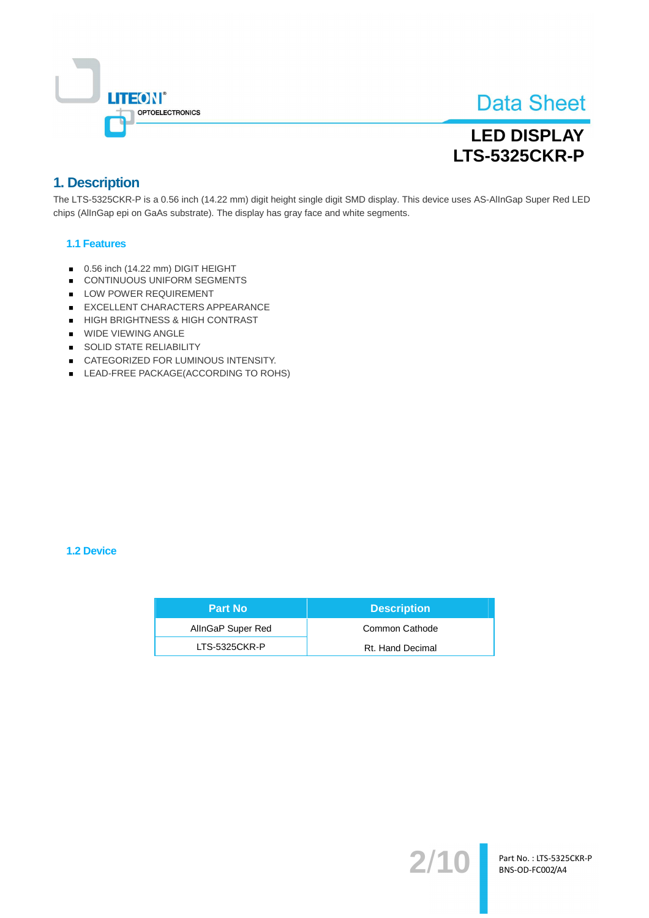

# **LED DISPLAY LTS-5325CKR-P**

## 1. Description

The LTS-5325CKR-P is a 0.56 inch (14.22 mm) digit height single digit SMD display. This device uses AS-AllnGap Super Red LED chips (AllnGap epi on GaAs substrate). The display has gray face and white segments.

#### **1.1 Features**

- 0.56 inch (14.22 mm) DIGIT HEIGHT
- CONTINUOUS UNIFORM SEGMENTS
- LOW POWER REQUIREMENT
- EXCELLENT CHARACTERS APPEARANCE
- HIGH BRIGHTNESS & HIGH CONTRAST
- **WIDE VIEWING ANGLE**
- SOLID STATE RELIABILITY
- CATEGORIZED FOR LUMINOUS INTENSITY.
- LEAD-FREE PACKAGE(ACCORDING TO ROHS)

#### 1.2 Device

| <b>Part No</b>    | <b>Description</b> |
|-------------------|--------------------|
| AllnGaP Super Red | Common Cathode     |
| LTS-5325CKR-P     | Rt. Hand Decimal   |

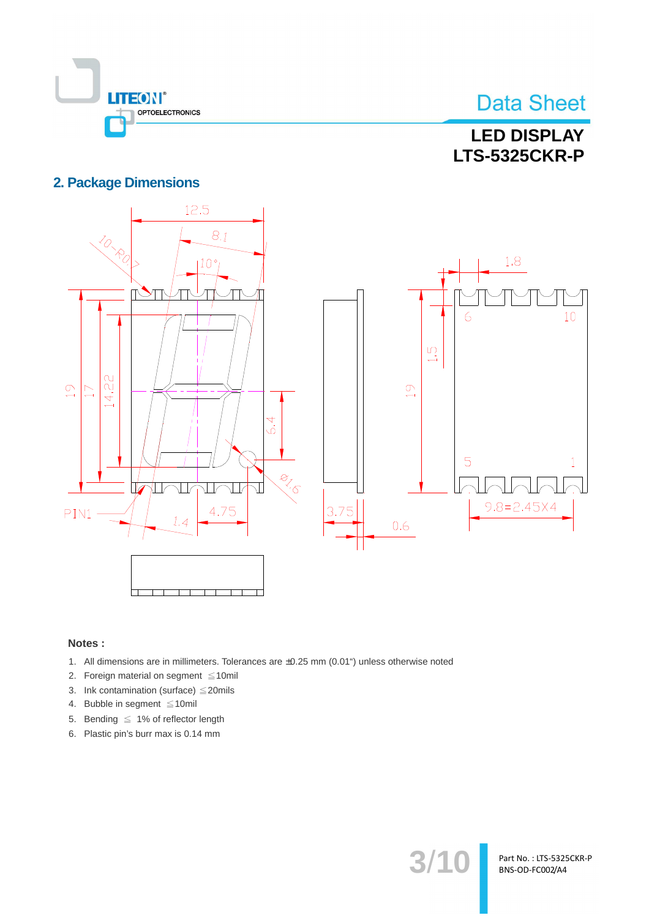

# **LED DISPLAY LTS-5325CKR-P**

### **2. Package Dimensions**



 $3/1($ 

Part No.: LTS-5325CKR-P BNS-OD-FC002/A4

#### Notes:

- 1. All dimensions are in millimeters. Tolerances are ±0.25 mm (0.01") unless otherwise noted
- 2. Foreign material on segment  $\leq 10$ mil
- 3. Ink contamination (surface)  $\leq$  20mils
- 4. Bubble in segment ≤10mil
- 5. Bending  $\leq 1\%$  of reflector length
- 6. Plastic pin's burr max is 0.14 mm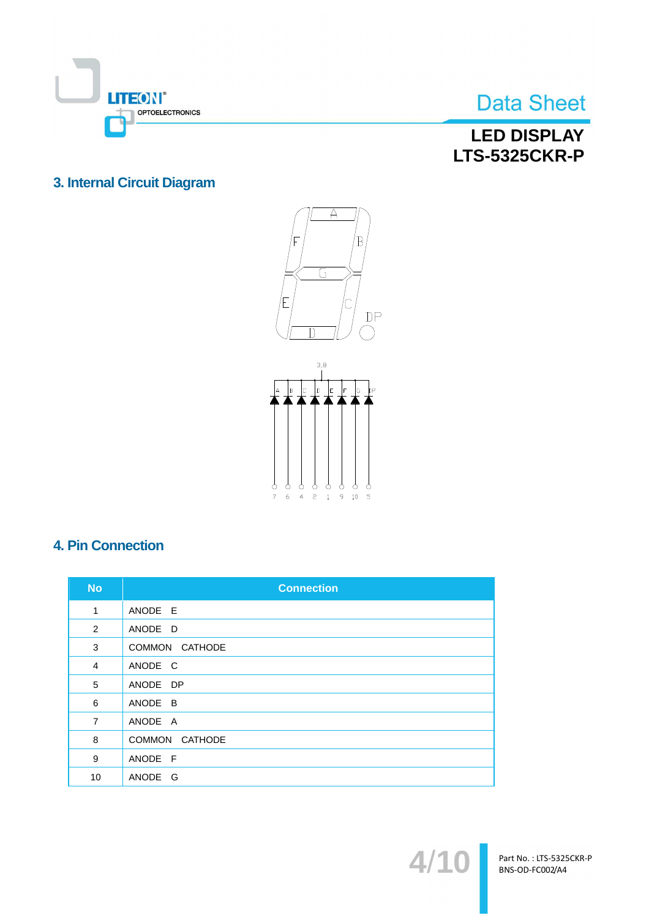

## **LED DISPLAY LTS-5325CKR-P**

## 3. Internal Circuit Diagram





## **4. Pin Connection**

| <b>No</b>      | <b>Connection</b> |
|----------------|-------------------|
| 1              | ANODE E           |
| 2              | ANODE D           |
| 3              | COMMON CATHODE    |
| $\overline{4}$ | ANODE C           |
| 5              | ANODE DP          |
| 6              | ANODE B           |
| $\overline{7}$ | ANODE A           |
| 8              | COMMON CATHODE    |
| 9              | ANODE F           |
| 10             | ANODE G           |

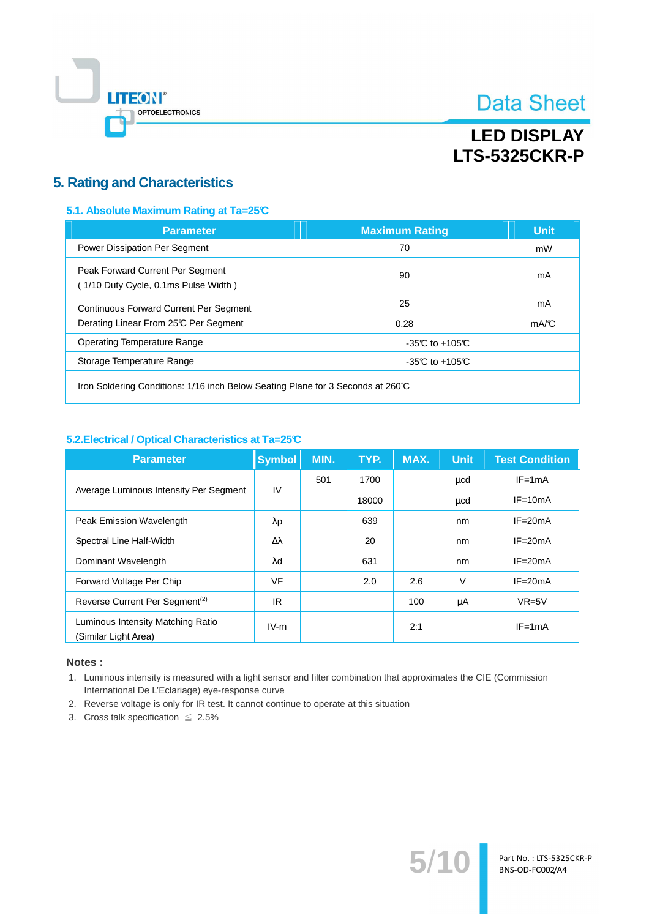

# **LED DISPLAY LTS-5325CKR-P**

### **5. Rating and Characteristics**

#### 5.1. Absolute Maximum Rating at Ta=25°C

| <b>Parameter</b>                                                        | <b>Maximum Rating</b> | <b>Unit</b> |
|-------------------------------------------------------------------------|-----------------------|-------------|
| Power Dissipation Per Segment                                           | 70                    | mW          |
| Peak Forward Current Per Segment<br>1/10 Duty Cycle, 0.1ms Pulse Width) | 90                    | mA          |
| <b>Continuous Forward Current Per Segment</b>                           | 25                    | mA          |
| Derating Linear From 25°C Per Segment                                   | 0.28                  | mA/C        |
| <b>Operating Temperature Range</b>                                      | $-35C$ to $+105C$     |             |
| Storage Temperature Range                                               | $-35C$ to $+105C$     |             |
|                                                                         |                       |             |

Iron Soldering Conditions: 1/16 inch Below Seating Plane for 3 Seconds at 260°C

#### 5.2. Electrical / Optical Characteristics at Ta=25°C

| <b>Parameter</b>                                          | <b>Symbol</b>    | MIN. | TYP.  | MAX. | <b>Unit</b> | <b>Test Condition</b> |
|-----------------------------------------------------------|------------------|------|-------|------|-------------|-----------------------|
|                                                           | IV               | 501  | 1700  |      | μcd         | $IF = 1mA$            |
| Average Luminous Intensity Per Segment                    |                  |      | 18000 |      | μcd         | $IF = 10mA$           |
| Peak Emission Wavelength                                  | $\lambda$ p      |      | 639   |      | nm          | $IF = 20mA$           |
| Spectral Line Half-Width                                  | $\Delta \lambda$ |      | 20    |      | nm          | $IF = 20mA$           |
| Dominant Wavelength                                       | $\lambda$ d      |      | 631   |      | nm          | $IF = 20mA$           |
| Forward Voltage Per Chip                                  | <b>VF</b>        |      | 2.0   | 2.6  | $\vee$      | $IF = 20mA$           |
| Reverse Current Per Segment <sup>(2)</sup>                | IR.              |      |       | 100  | μA          | $VR=5V$               |
| Luminous Intensity Matching Ratio<br>(Similar Light Area) | $IV-m$           |      |       | 2:1  |             | $IF = 1mA$            |

#### Notes:

1. Luminous intensity is measured with a light sensor and filter combination that approximates the CIE (Commission International De L'Eclariage) eye-response curve

 $5/$ 

- 2. Reverse voltage is only for IR test. It cannot continue to operate at this situation
- 3. Cross talk specification  $\leq 2.5\%$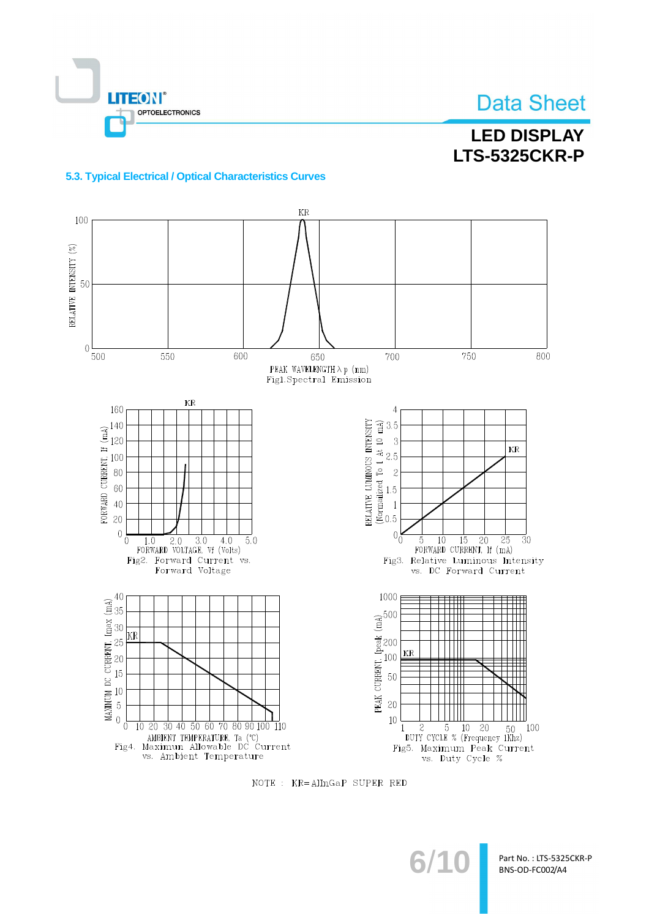

# **LED DISPLAY LTS-5325CKR-P**

#### 5.3. Typical Electrical / Optical Characteristics Curves



NOTE : KR=AlInGaP SUPER RED

 $6/1$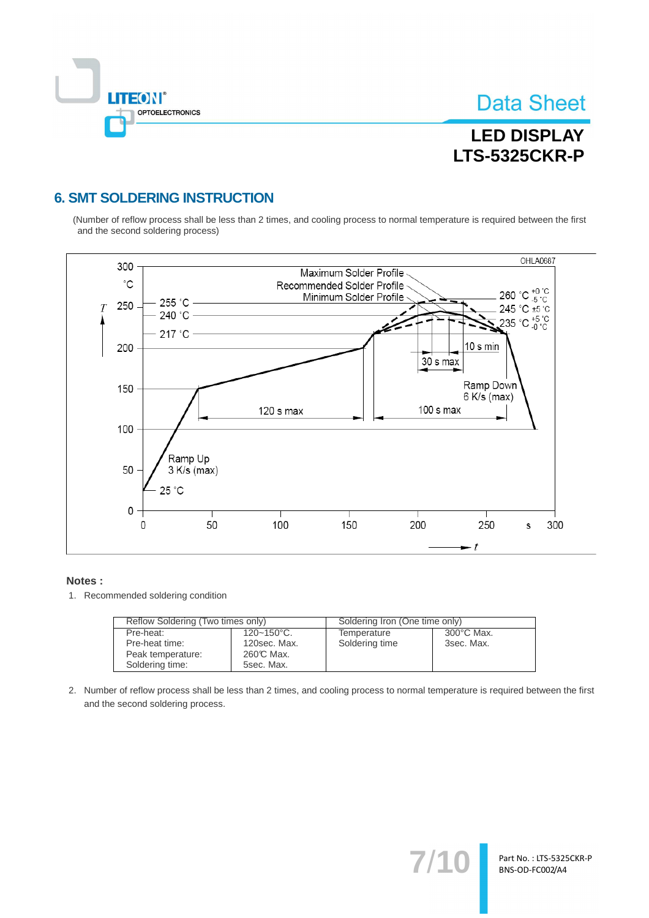

# **LED DISPLAY LTS-5325CKR-P**

## **6. SMT SOLDERING INSTRUCTION**

(Number of reflow process shall be less than 2 times, and cooling process to normal temperature is required between the first and the second soldering process)



#### Notes:

1. Recommended soldering condition

| Reflow Soldering (Two times only) |                 | Soldering Iron (One time only) |            |  |
|-----------------------------------|-----------------|--------------------------------|------------|--|
| Pre-heat:                         | $120 - 150$ °C. | Temperature                    | 300°C Max. |  |
| Pre-heat time:                    | 120sec. Max.    | Soldering time                 | 3sec. Max. |  |
| Peak temperature:                 | 260℃ Max.       |                                |            |  |
| Soldering time:                   | 5sec. Max.      |                                |            |  |

2. Number of reflow process shall be less than 2 times, and cooling process to normal temperature is required between the first and the second soldering process.

 $7'$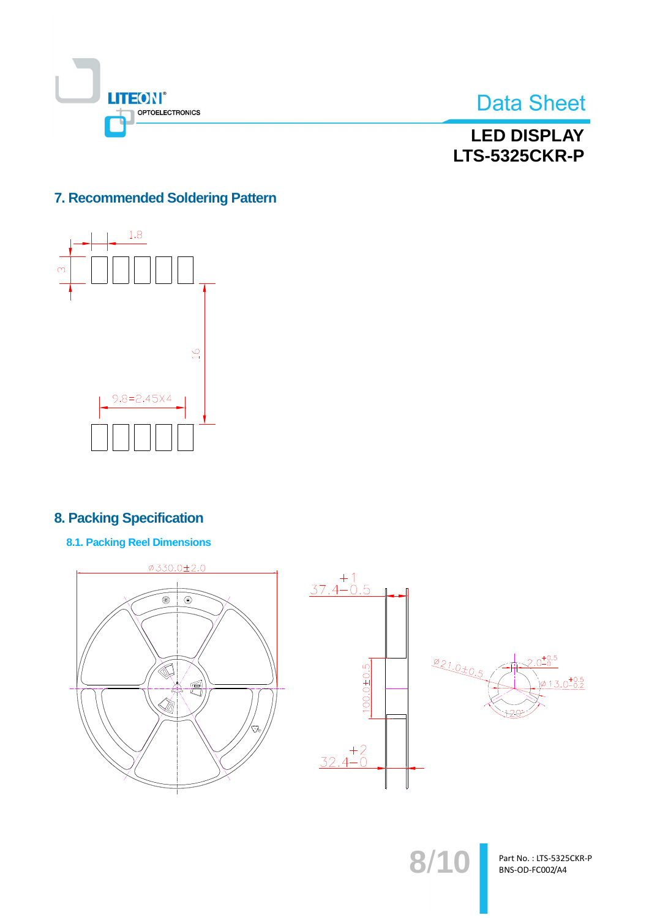



**LED DISPLAY LTS-5325CKR-P** 

## 7. Recommended Soldering Pattern



## **8. Packing Specification**

**8.1. Packing Reel Dimensions** 



 $8/10$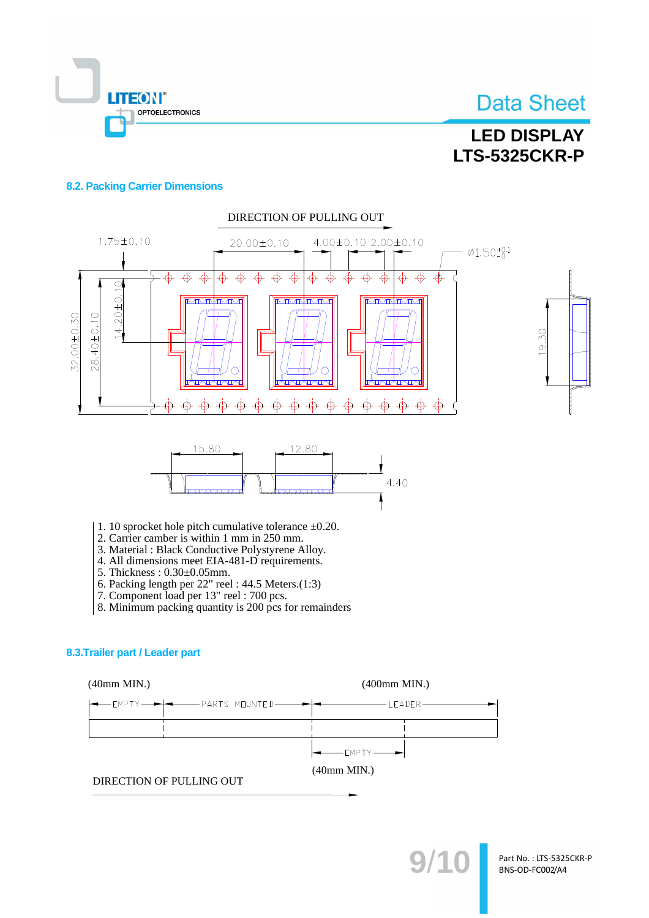

# **LED DISPLAY LTS-5325CKR-P**

#### **8.2. Packing Carrier Dimensions**



- 
- 4. All dimensions meet EIA-481-D requirements.
- 5. Thickness: 0.30±0.05mm.
- 6. Packing length per  $22$ " reel:  $44.5$  Meters. $(1:3)$
- 7. Component load per 13" reel : 700 pcs.
- 8. Minimum packing quantity is 200 pcs for remainders

#### 8.3. Trailer part / Leader part

 $(40mm MIN.)$ 

 $(400$ mm MIN.)

| $\longleftarrow$ EMPTY $\longleftarrow$ |  |
|-----------------------------------------|--|

 $(40mm MIN.)$ 

DIRECTION OF PULLING OUT